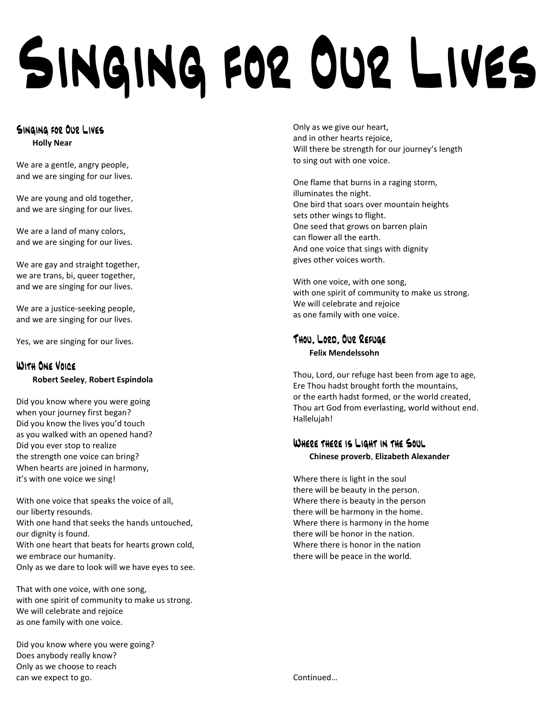# SINGING FOR OUR LIVES

## SINGING FOR OUR LIVES **Holly Near**

We are a gentle, angry people, and we are singing for our lives.

We are young and old together, and we are singing for our lives.

We are a land of many colors, and we are singing for our lives.

We are gay and straight together, we are trans, bi, queer together, and we are singing for our lives.

We are a justice-seeking people, and we are singing for our lives.

Yes, we are singing for our lives.

# WITH ONE VOICE

#### **Robert Seeley**, **Robert Espindola**

Did you know where you were going when your journey first began? Did you know the lives you'd touch as you walked with an opened hand? Did you ever stop to realize the strength one voice can bring? When hearts are joined in harmony, it's with one voice we sing!

With one voice that speaks the voice of all, our liberty resounds. With one hand that seeks the hands untouched, our dignity is found. With one heart that beats for hearts grown cold, we embrace our humanity. Only as we dare to look will we have eyes to see.

That with one voice, with one song, with one spirit of community to make us strong. We will celebrate and rejoice as one family with one voice.

Did you know where you were going? Does anybody really know? Only as we choose to reach can we expect to go.

Only as we give our heart, and in other hearts rejoice, Will there be strength for our journey's length to sing out with one voice.

One flame that burns in a raging storm, illuminates the night. One bird that soars over mountain heights sets other wings to flight. One seed that grows on barren plain can flower all the earth. And one voice that sings with dignity gives other voices worth.

With one voice, with one song, with one spirit of community to make us strong. We will celebrate and rejoice as one family with one voice.

# THOU, LORD, OUR REFUGE **Felix Mendelssohn**

Thou, Lord, our refuge hast been from age to age, Ere Thou hadst brought forth the mountains, or the earth hadst formed, or the world created, Thou art God from everlasting, world without end. Hallelujah!

## WHERE THERE IS LIGHT IN THE SOUL **Chinese proverb**, **Elizabeth Alexander**

Where there is light in the soul there will be beauty in the person. Where there is beauty in the person there will be harmony in the home. Where there is harmony in the home there will be honor in the nation. Where there is honor in the nation there will be peace in the world.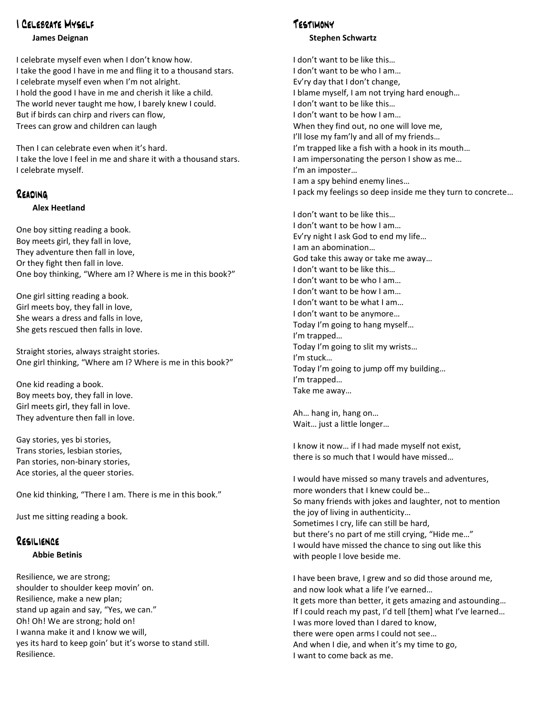# I CELEBRATE MYSELF

#### **James Deignan**

I celebrate myself even when I don't know how. I take the good I have in me and fling it to a thousand stars. I celebrate myself even when I'm not alright. I hold the good I have in me and cherish it like a child. The world never taught me how, I barely knew I could. But if birds can chirp and rivers can flow, Trees can grow and children can laugh

Then I can celebrate even when it's hard. I take the love I feel in me and share it with a thousand stars. I celebrate myself.

## READING

### **Alex Heetland**

One boy sitting reading a book. Boy meets girl, they fall in love, They adventure then fall in love, Or they fight then fall in love. One boy thinking, "Where am I? Where is me in this book?"

One girl sitting reading a book. Girl meets boy, they fall in love, She wears a dress and falls in love, She gets rescued then falls in love.

Straight stories, always straight stories. One girl thinking, "Where am I? Where is me in this book?"

One kid reading a book. Boy meets boy, they fall in love. Girl meets girl, they fall in love. They adventure then fall in love.

Gay stories, yes bi stories, Trans stories, lesbian stories, Pan stories, non-binary stories, Ace stories, al the queer stories.

One kid thinking, "There I am. There is me in this book."

Just me sitting reading a book.

## RESILIENCE

#### **Abbie Betinis**

Resilience, we are strong; shoulder to shoulder keep movin' on. Resilience, make a new plan; stand up again and say, "Yes, we can." Oh! Oh! We are strong; hold on! I wanna make it and I know we will, yes its hard to keep goin' but it's worse to stand still. Resilience.

## TESTIMONY

#### **Stephen Schwartz**

I don't want to be like this… I don't want to be who I am… Ev'ry day that I don't change, I blame myself, I am not trying hard enough… I don't want to be like this… I don't want to be how I am… When they find out, no one will love me, I'll lose my fam'ly and all of my friends… I'm trapped like a fish with a hook in its mouth... I am impersonating the person I show as me... I'm an imposter… I am a spy behind enemy lines… I pack my feelings so deep inside me they turn to concrete…

I don't want to be like this… I don't want to be how I am… Ev'ry night I ask God to end my life… I am an abomination… God take this away or take me away… I don't want to be like this… I don't want to be who I am… I don't want to be how I am… I don't want to be what I am... I don't want to be anymore… Today I'm going to hang myself… I'm trapped… Today I'm going to slit my wrists… I'm stuck… Today I'm going to jump off my building… I'm trapped… Take me away…

Ah… hang in, hang on… Wait… just a little longer…

I know it now… if I had made myself not exist, there is so much that I would have missed…

I would have missed so many travels and adventures, more wonders that I knew could be… So many friends with jokes and laughter, not to mention the joy of living in authenticity… Sometimes I cry, life can still be hard, but there's no part of me still crying, "Hide me…" I would have missed the chance to sing out like this with people I love beside me.

I have been brave, I grew and so did those around me, and now look what a life I've earned… It gets more than better, it gets amazing and astounding… If I could reach my past, I'd tell [them] what I've learned… I was more loved than I dared to know, there were open arms I could not see… And when I die, and when it's my time to go, I want to come back as me.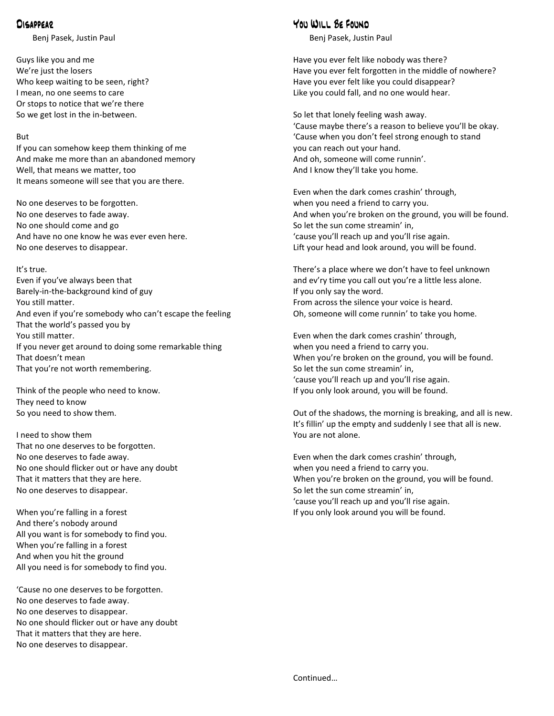## **DISAPPEAR**

Benj Pasek, Justin Paul

Guys like you and me We're just the losers Who keep waiting to be seen, right? I mean, no one seems to care Or stops to notice that we're there So we get lost in the in-between.

#### But

If you can somehow keep them thinking of me And make me more than an abandoned memory Well, that means we matter, too It means someone will see that you are there.

No one deserves to be forgotten. No one deserves to fade away. No one should come and go And have no one know he was ever even here. No one deserves to disappear.

It's true. Even if you've always been that Barely-in-the-background kind of guy You still matter. And even if you're somebody who can't escape the feeling That the world's passed you by You still matter. If you never get around to doing some remarkable thing That doesn't mean That you're not worth remembering.

Think of the people who need to know. They need to know So you need to show them.

I need to show them That no one deserves to be forgotten. No one deserves to fade away. No one should flicker out or have any doubt That it matters that they are here. No one deserves to disappear.

When you're falling in a forest And there's nobody around All you want is for somebody to find you. When you're falling in a forest And when you hit the ground All you need is for somebody to find you.

'Cause no one deserves to be forgotten. No one deserves to fade away. No one deserves to disappear. No one should flicker out or have any doubt That it matters that they are here. No one deserves to disappear.

# YOU WILL BE FOUND

Benj Pasek, Justin Paul

Have you ever felt like nobody was there? Have you ever felt forgotten in the middle of nowhere? Have you ever felt like you could disappear? Like you could fall, and no one would hear.

So let that lonely feeling wash away. 'Cause maybe there's a reason to believe you'll be okay. 'Cause when you don't feel strong enough to stand you can reach out your hand. And oh, someone will come runnin'. And I know they'll take you home.

Even when the dark comes crashin' through, when you need a friend to carry you. And when you're broken on the ground, you will be found. So let the sun come streamin' in, 'cause you'll reach up and you'll rise again. Lift your head and look around, you will be found.

There's a place where we don't have to feel unknown and ev'ry time you call out you're a little less alone. If you only say the word. From across the silence your voice is heard. Oh, someone will come runnin' to take you home.

Even when the dark comes crashin' through, when you need a friend to carry you. When you're broken on the ground, you will be found. So let the sun come streamin' in, 'cause you'll reach up and you'll rise again. If you only look around, you will be found.

Out of the shadows, the morning is breaking, and all is new. It's fillin' up the empty and suddenly I see that all is new. You are not alone.

Even when the dark comes crashin' through, when you need a friend to carry you. When you're broken on the ground, you will be found. So let the sun come streamin' in, 'cause you'll reach up and you'll rise again. If you only look around you will be found.